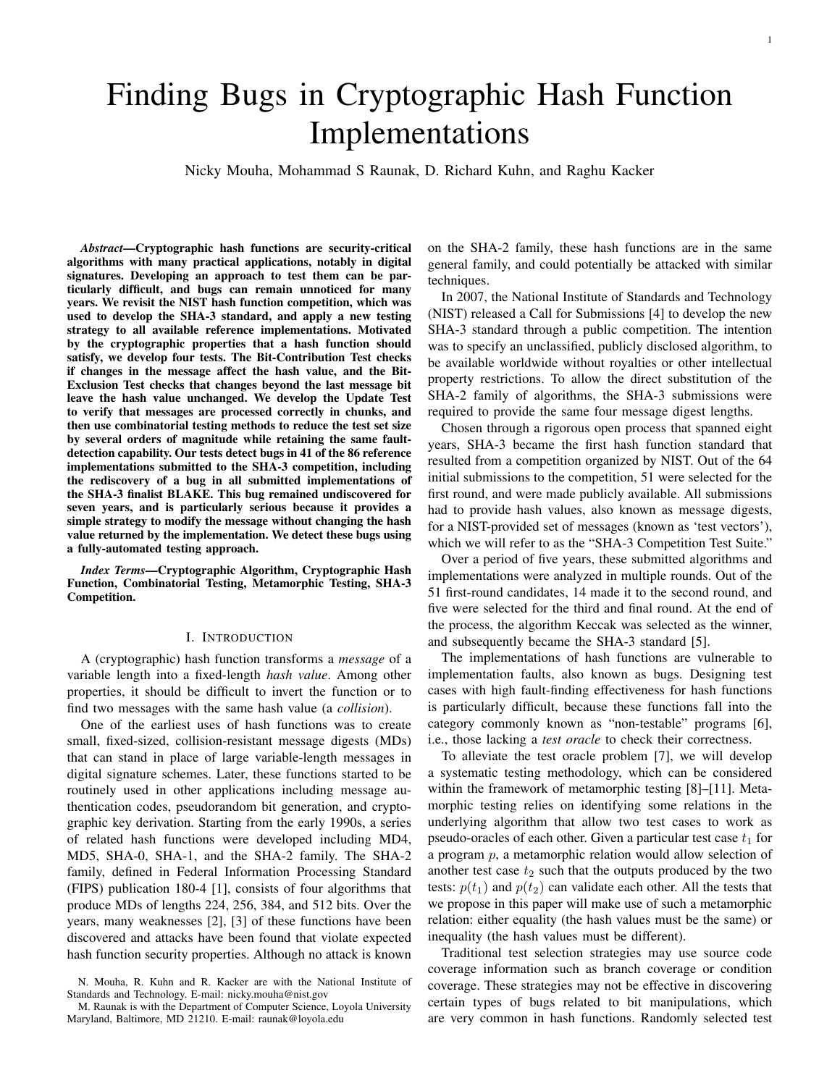# Finding Bugs in Cryptographic Hash Function Implementations

Nicky Mouha, Mohammad S Raunak, D. Richard Kuhn, and Raghu Kacker

*Abstract*—Cryptographic hash functions are security-critical algorithms with many practical applications, notably in digital signatures. Developing an approach to test them can be particularly diffcult, and bugs can remain unnoticed for many years. We revisit the NIST hash function competition, which was used to develop the SHA-3 standard, and apply a new testing strategy to all available reference implementations. Motivated by the cryptographic properties that a hash function should satisfy, we develop four tests. The Bit-Contribution Test checks if changes in the message affect the hash value, and the Bit-Exclusion Test checks that changes beyond the last message bit leave the hash value unchanged. We develop the Update Test to verify that messages are processed correctly in chunks, and then use combinatorial testing methods to reduce the test set size by several orders of magnitude while retaining the same faultdetection capability. Our tests detect bugs in 41 of the 86 reference implementations submitted to the SHA-3 competition, including the rediscovery of a bug in all submitted implementations of the SHA-3 fnalist BLAKE. This bug remained undiscovered for seven years, and is particularly serious because it provides a simple strategy to modify the message without changing the hash value returned by the implementation. We detect these bugs using a fully-automated testing approach.

*Index Terms*—Cryptographic Algorithm, Cryptographic Hash Function, Combinatorial Testing, Metamorphic Testing, SHA-3 Competition.

#### I. INTRODUCTION

A (cryptographic) hash function transforms a *message* of a variable length into a fxed-length *hash value*. Among other properties, it should be difficult to invert the function or to fnd two messages with the same hash value (a *collision*).

One of the earliest uses of hash functions was to create small, fxed-sized, collision-resistant message digests (MDs) that can stand in place of large variable-length messages in digital signature schemes. Later, these functions started to be routinely used in other applications including message authentication codes, pseudorandom bit generation, and cryptographic key derivation. Starting from the early 1990s, a series of related hash functions were developed including MD4, MD5, SHA-0, SHA-1, and the SHA-2 family. The SHA-2 family, defned in Federal Information Processing Standard (FIPS) publication 180-4 [1], consists of four algorithms that produce MDs of lengths 224, 256, 384, and 512 bits. Over the years, many weaknesses [2], [3] of these functions have been discovered and attacks have been found that violate expected hash function security properties. Although no attack is known

on the SHA-2 family, these hash functions are in the same general family, and could potentially be attacked with similar techniques.

In 2007, the National Institute of Standards and Technology (NIST) released a Call for Submissions [4] to develop the new SHA-3 standard through a public competition. The intention was to specify an unclassifed, publicly disclosed algorithm, to be available worldwide without royalties or other intellectual property restrictions. To allow the direct substitution of the SHA-2 family of algorithms, the SHA-3 submissions were required to provide the same four message digest lengths.

Chosen through a rigorous open process that spanned eight years, SHA-3 became the frst hash function standard that resulted from a competition organized by NIST. Out of the 64 initial submissions to the competition, 51 were selected for the frst round, and were made publicly available. All submissions had to provide hash values, also known as message digests, for a NIST-provided set of messages (known as 'test vectors'), which we will refer to as the "SHA-3 Competition Test Suite."

Over a period of fve years, these submitted algorithms and implementations were analyzed in multiple rounds. Out of the 51 frst-round candidates, 14 made it to the second round, and fve were selected for the third and fnal round. At the end of the process, the algorithm Keccak was selected as the winner, and subsequently became the SHA-3 standard [5].

The implementations of hash functions are vulnerable to implementation faults, also known as bugs. Designing test cases with high fault-fnding effectiveness for hash functions is particularly diffcult, because these functions fall into the category commonly known as "non-testable" programs [6], i.e., those lacking a *test oracle* to check their correctness.

To alleviate the test oracle problem [7], we will develop a systematic testing methodology, which can be considered within the framework of metamorphic testing [8]–[11]. Metamorphic testing relies on identifying some relations in the underlying algorithm that allow two test cases to work as pseudo-oracles of each other. Given a particular test case  $t_1$  for a program p, a metamorphic relation would allow selection of another test case  $t_2$  such that the outputs produced by the two tests:  $p(t_1)$  and  $p(t_2)$  can validate each other. All the tests that we propose in this paper will make use of such a metamorphic relation: either equality (the hash values must be the same) or inequality (the hash values must be different).

Traditional test selection strategies may use source code coverage information such as branch coverage or condition coverage. These strategies may not be effective in discovering certain types of bugs related to bit manipulations, which are very common in hash functions. Randomly selected test

N. Mouha, R. Kuhn and R. Kacker are with the National Institute of Standards and Technology. E-mail: nicky.mouha@nist.gov

M. Raunak is with the Department of Computer Science, Loyola University Maryland, Baltimore, MD 21210. E-mail: raunak@loyola.edu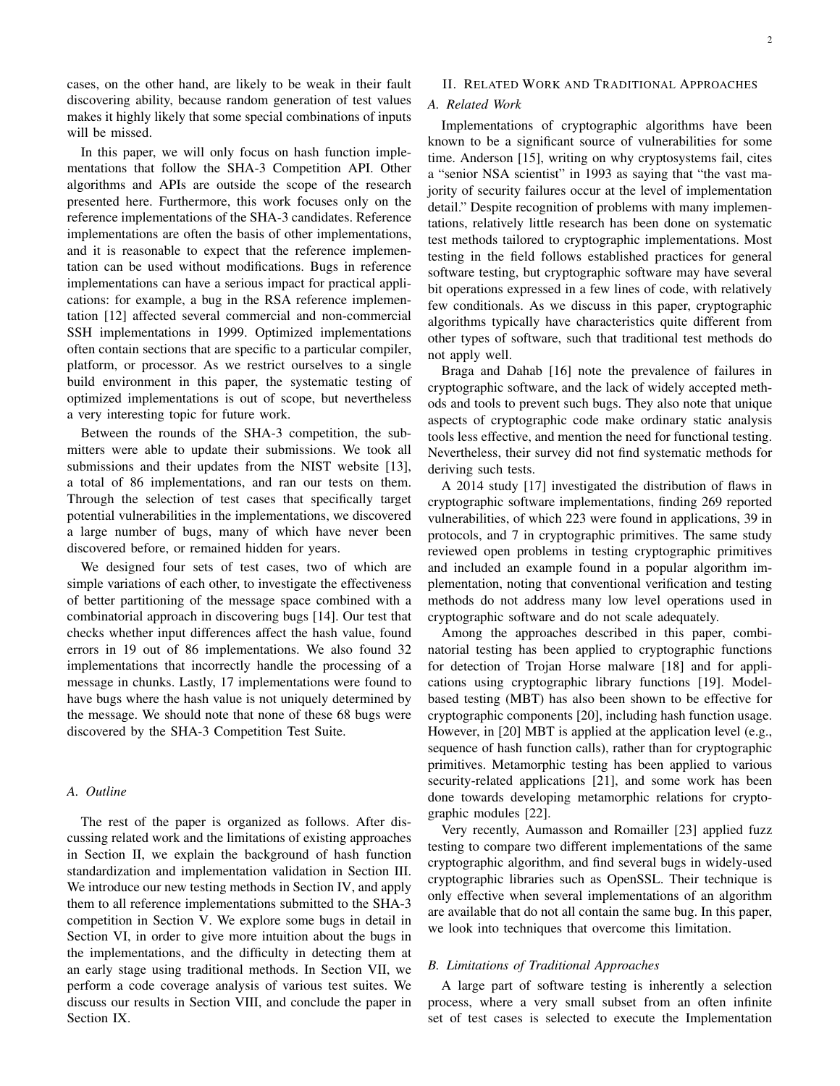cases, on the other hand, are likely to be weak in their fault discovering ability, because random generation of test values makes it highly likely that some special combinations of inputs will be missed.

In this paper, we will only focus on hash function implementations that follow the SHA-3 Competition API. Other algorithms and APIs are outside the scope of the research presented here. Furthermore, this work focuses only on the reference implementations of the SHA-3 candidates. Reference implementations are often the basis of other implementations, and it is reasonable to expect that the reference implementation can be used without modifcations. Bugs in reference implementations can have a serious impact for practical applications: for example, a bug in the RSA reference implementation [12] affected several commercial and non-commercial SSH implementations in 1999. Optimized implementations often contain sections that are specifc to a particular compiler, platform, or processor. As we restrict ourselves to a single build environment in this paper, the systematic testing of optimized implementations is out of scope, but nevertheless a very interesting topic for future work.

Between the rounds of the SHA-3 competition, the submitters were able to update their submissions. We took all submissions and their updates from the NIST website [13], a total of 86 implementations, and ran our tests on them. Through the selection of test cases that specifcally target potential vulnerabilities in the implementations, we discovered a large number of bugs, many of which have never been discovered before, or remained hidden for years.

We designed four sets of test cases, two of which are simple variations of each other, to investigate the effectiveness of better partitioning of the message space combined with a combinatorial approach in discovering bugs [14]. Our test that checks whether input differences affect the hash value, found errors in 19 out of 86 implementations. We also found 32 implementations that incorrectly handle the processing of a message in chunks. Lastly, 17 implementations were found to have bugs where the hash value is not uniquely determined by the message. We should note that none of these 68 bugs were discovered by the SHA-3 Competition Test Suite.

# *A. Outline*

The rest of the paper is organized as follows. After discussing related work and the limitations of existing approaches in Section II, we explain the background of hash function standardization and implementation validation in Section III. We introduce our new testing methods in Section IV, and apply them to all reference implementations submitted to the SHA-3 competition in Section V. We explore some bugs in detail in Section VI, in order to give more intuition about the bugs in the implementations, and the diffculty in detecting them at an early stage using traditional methods. In Section VII, we perform a code coverage analysis of various test suites. We discuss our results in Section VIII, and conclude the paper in Section IX.

# II. RELATED WORK AND TRADITIONAL APPROACHES

# *A. Related Work*

Implementations of cryptographic algorithms have been known to be a signifcant source of vulnerabilities for some time. Anderson [15], writing on why cryptosystems fail, cites a "senior NSA scientist" in 1993 as saying that "the vast majority of security failures occur at the level of implementation detail." Despite recognition of problems with many implementations, relatively little research has been done on systematic test methods tailored to cryptographic implementations. Most testing in the feld follows established practices for general software testing, but cryptographic software may have several bit operations expressed in a few lines of code, with relatively few conditionals. As we discuss in this paper, cryptographic algorithms typically have characteristics quite different from other types of software, such that traditional test methods do not apply well.

Braga and Dahab [16] note the prevalence of failures in cryptographic software, and the lack of widely accepted methods and tools to prevent such bugs. They also note that unique aspects of cryptographic code make ordinary static analysis tools less effective, and mention the need for functional testing. Nevertheless, their survey did not fnd systematic methods for deriving such tests.

A 2014 study [17] investigated the distribution of faws in cryptographic software implementations, fnding 269 reported vulnerabilities, of which 223 were found in applications, 39 in protocols, and 7 in cryptographic primitives. The same study reviewed open problems in testing cryptographic primitives and included an example found in a popular algorithm implementation, noting that conventional verifcation and testing methods do not address many low level operations used in cryptographic software and do not scale adequately.

Among the approaches described in this paper, combinatorial testing has been applied to cryptographic functions for detection of Trojan Horse malware [18] and for applications using cryptographic library functions [19]. Modelbased testing (MBT) has also been shown to be effective for cryptographic components [20], including hash function usage. However, in [20] MBT is applied at the application level (e.g., sequence of hash function calls), rather than for cryptographic primitives. Metamorphic testing has been applied to various security-related applications [21], and some work has been done towards developing metamorphic relations for cryptographic modules [22].

Very recently, Aumasson and Romailler [23] applied fuzz testing to compare two different implementations of the same cryptographic algorithm, and fnd several bugs in widely-used cryptographic libraries such as OpenSSL. Their technique is only effective when several implementations of an algorithm are available that do not all contain the same bug. In this paper, we look into techniques that overcome this limitation.

### *B. Limitations of Traditional Approaches*

A large part of software testing is inherently a selection process, where a very small subset from an often infnite set of test cases is selected to execute the Implementation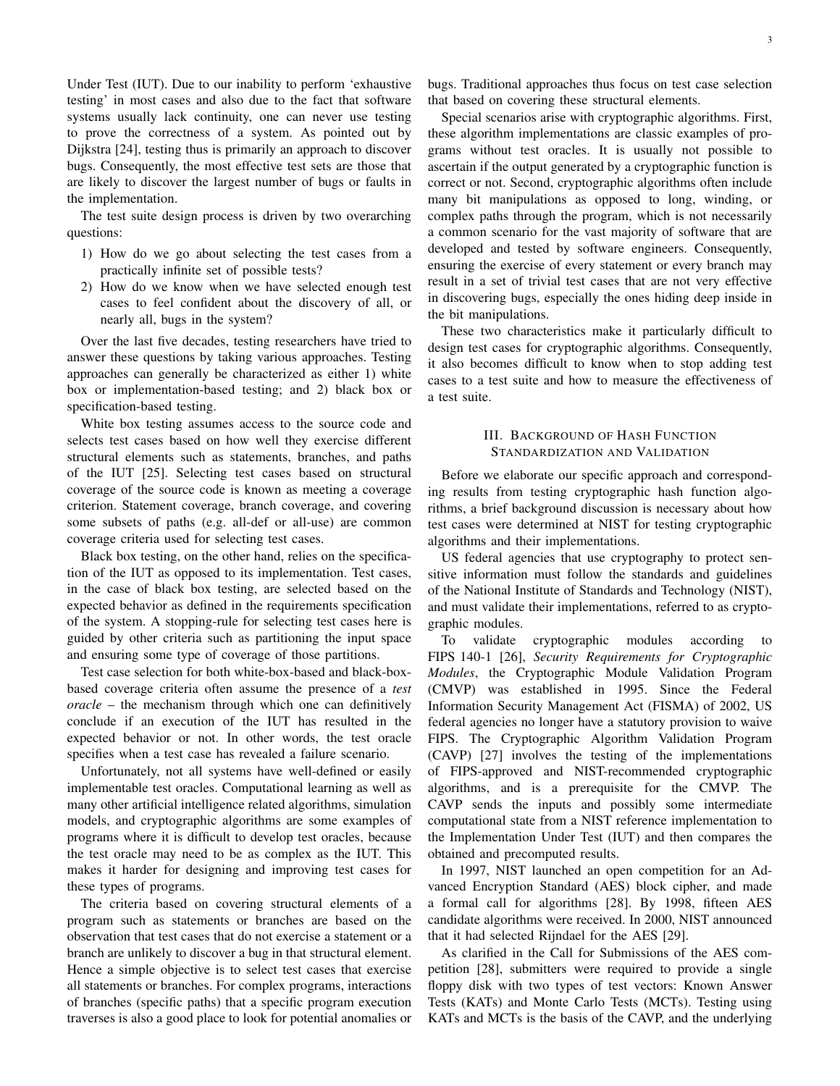Under Test (IUT). Due to our inability to perform 'exhaustive testing' in most cases and also due to the fact that software systems usually lack continuity, one can never use testing to prove the correctness of a system. As pointed out by Dijkstra [24], testing thus is primarily an approach to discover bugs. Consequently, the most effective test sets are those that are likely to discover the largest number of bugs or faults in the implementation.

The test suite design process is driven by two overarching questions:

- 1) How do we go about selecting the test cases from a practically infnite set of possible tests?
- 2) How do we know when we have selected enough test cases to feel confdent about the discovery of all, or nearly all, bugs in the system?

Over the last fve decades, testing researchers have tried to answer these questions by taking various approaches. Testing approaches can generally be characterized as either 1) white box or implementation-based testing; and 2) black box or specifcation-based testing.

White box testing assumes access to the source code and selects test cases based on how well they exercise different structural elements such as statements, branches, and paths of the IUT [25]. Selecting test cases based on structural coverage of the source code is known as meeting a coverage criterion. Statement coverage, branch coverage, and covering some subsets of paths (e.g. all-def or all-use) are common coverage criteria used for selecting test cases.

Black box testing, on the other hand, relies on the specifcation of the IUT as opposed to its implementation. Test cases, in the case of black box testing, are selected based on the expected behavior as defned in the requirements specifcation of the system. A stopping-rule for selecting test cases here is guided by other criteria such as partitioning the input space and ensuring some type of coverage of those partitions.

Test case selection for both white-box-based and black-boxbased coverage criteria often assume the presence of a *test oracle* – the mechanism through which one can defnitively conclude if an execution of the IUT has resulted in the expected behavior or not. In other words, the test oracle specifes when a test case has revealed a failure scenario.

Unfortunately, not all systems have well-defned or easily implementable test oracles. Computational learning as well as many other artifcial intelligence related algorithms, simulation models, and cryptographic algorithms are some examples of programs where it is diffcult to develop test oracles, because the test oracle may need to be as complex as the IUT. This makes it harder for designing and improving test cases for these types of programs.

The criteria based on covering structural elements of a program such as statements or branches are based on the observation that test cases that do not exercise a statement or a branch are unlikely to discover a bug in that structural element. Hence a simple objective is to select test cases that exercise all statements or branches. For complex programs, interactions of branches (specifc paths) that a specifc program execution traverses is also a good place to look for potential anomalies or bugs. Traditional approaches thus focus on test case selection that based on covering these structural elements.

Special scenarios arise with cryptographic algorithms. First, these algorithm implementations are classic examples of programs without test oracles. It is usually not possible to ascertain if the output generated by a cryptographic function is correct or not. Second, cryptographic algorithms often include many bit manipulations as opposed to long, winding, or complex paths through the program, which is not necessarily a common scenario for the vast majority of software that are developed and tested by software engineers. Consequently, ensuring the exercise of every statement or every branch may result in a set of trivial test cases that are not very effective in discovering bugs, especially the ones hiding deep inside in the bit manipulations.

These two characteristics make it particularly difficult to design test cases for cryptographic algorithms. Consequently, it also becomes diffcult to know when to stop adding test cases to a test suite and how to measure the effectiveness of a test suite.

# III. BACKGROUND OF HASH FUNCTION STANDARDIZATION AND VALIDATION

Before we elaborate our specifc approach and corresponding results from testing cryptographic hash function algorithms, a brief background discussion is necessary about how test cases were determined at NIST for testing cryptographic algorithms and their implementations.

US federal agencies that use cryptography to protect sensitive information must follow the standards and guidelines of the National Institute of Standards and Technology (NIST), and must validate their implementations, referred to as cryptographic modules.

To validate cryptographic modules according to FIPS 140-1 [26], *Security Requirements for Cryptographic Modules*, the Cryptographic Module Validation Program (CMVP) was established in 1995. Since the Federal Information Security Management Act (FISMA) of 2002, US federal agencies no longer have a statutory provision to waive FIPS. The Cryptographic Algorithm Validation Program (CAVP) [27] involves the testing of the implementations of FIPS-approved and NIST-recommended cryptographic algorithms, and is a prerequisite for the CMVP. The CAVP sends the inputs and possibly some intermediate computational state from a NIST reference implementation to the Implementation Under Test (IUT) and then compares the obtained and precomputed results.

In 1997, NIST launched an open competition for an Advanced Encryption Standard (AES) block cipher, and made a formal call for algorithms [28]. By 1998, ffteen AES candidate algorithms were received. In 2000, NIST announced that it had selected Rijndael for the AES [29].

As clarifed in the Call for Submissions of the AES competition [28], submitters were required to provide a single foppy disk with two types of test vectors: Known Answer Tests (KATs) and Monte Carlo Tests (MCTs). Testing using KATs and MCTs is the basis of the CAVP, and the underlying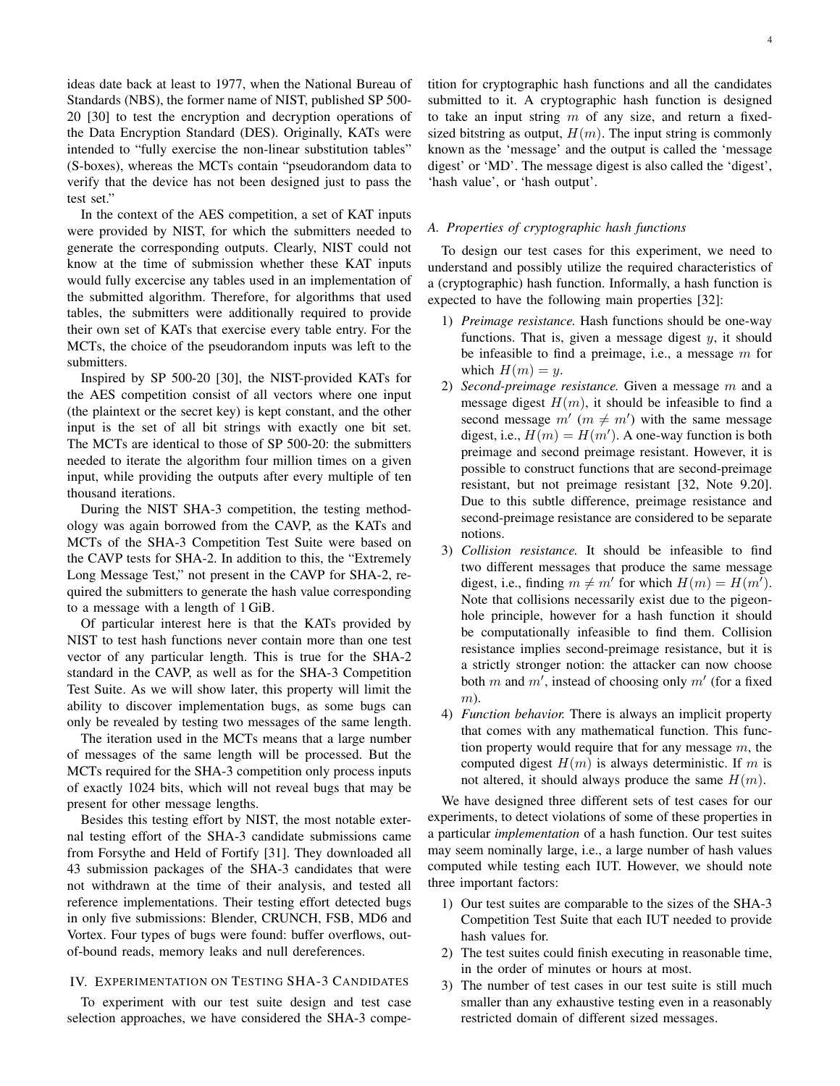ideas date back at least to 1977, when the National Bureau of Standards (NBS), the former name of NIST, published SP 500- 20 [30] to test the encryption and decryption operations of the Data Encryption Standard (DES). Originally, KATs were intended to "fully exercise the non-linear substitution tables" (S-boxes), whereas the MCTs contain "pseudorandom data to verify that the device has not been designed just to pass the test set."

In the context of the AES competition, a set of KAT inputs were provided by NIST, for which the submitters needed to generate the corresponding outputs. Clearly, NIST could not know at the time of submission whether these KAT inputs would fully excercise any tables used in an implementation of the submitted algorithm. Therefore, for algorithms that used tables, the submitters were additionally required to provide their own set of KATs that exercise every table entry. For the MCTs, the choice of the pseudorandom inputs was left to the submitters.

Inspired by SP 500-20 [30], the NIST-provided KATs for the AES competition consist of all vectors where one input (the plaintext or the secret key) is kept constant, and the other input is the set of all bit strings with exactly one bit set. The MCTs are identical to those of SP 500-20: the submitters needed to iterate the algorithm four million times on a given input, while providing the outputs after every multiple of ten thousand iterations.

During the NIST SHA-3 competition, the testing methodology was again borrowed from the CAVP, as the KATs and MCTs of the SHA-3 Competition Test Suite were based on the CAVP tests for SHA-2. In addition to this, the "Extremely Long Message Test," not present in the CAVP for SHA-2, required the submitters to generate the hash value corresponding to a message with a length of 1 GiB.

Of particular interest here is that the KATs provided by NIST to test hash functions never contain more than one test vector of any particular length. This is true for the SHA-2 standard in the CAVP, as well as for the SHA-3 Competition Test Suite. As we will show later, this property will limit the ability to discover implementation bugs, as some bugs can only be revealed by testing two messages of the same length.

The iteration used in the MCTs means that a large number of messages of the same length will be processed. But the MCTs required for the SHA-3 competition only process inputs of exactly 1024 bits, which will not reveal bugs that may be present for other message lengths.

Besides this testing effort by NIST, the most notable external testing effort of the SHA-3 candidate submissions came from Forsythe and Held of Fortify [31]. They downloaded all 43 submission packages of the SHA-3 candidates that were not withdrawn at the time of their analysis, and tested all reference implementations. Their testing effort detected bugs in only fve submissions: Blender, CRUNCH, FSB, MD6 and Vortex. Four types of bugs were found: buffer overfows, outof-bound reads, memory leaks and null dereferences.

# IV. EXPERIMENTATION ON TESTING SHA-3 CANDIDATES

To experiment with our test suite design and test case selection approaches, we have considered the SHA-3 competition for cryptographic hash functions and all the candidates submitted to it. A cryptographic hash function is designed to take an input string  $m$  of any size, and return a fixedsized bitstring as output,  $H(m)$ . The input string is commonly known as the 'message' and the output is called the 'message digest' or 'MD'. The message digest is also called the 'digest', 'hash value', or 'hash output'.

# *A. Properties of cryptographic hash functions*

To design our test cases for this experiment, we need to understand and possibly utilize the required characteristics of a (cryptographic) hash function. Informally, a hash function is expected to have the following main properties [32]:

- 1) *Preimage resistance.* Hash functions should be one-way functions. That is, given a message digest  $y$ , it should be infeasible to find a preimage, i.e., a message  $m$  for which  $H(m) = y$ .
- 2) *Second-preimage resistance.* Given a message m and a message digest  $H(m)$ , it should be infeasible to find a second message  $m'(m \neq m')$  with the same message digest, i.e.,  $\widetilde{H(m)} = H(m')$ . A one-way function is both preimage and second preimage resistant. However, it is possible to construct functions that are second-preimage resistant, but not preimage resistant [32, Note 9.20]. Due to this subtle difference, preimage resistance and second-preimage resistance are considered to be separate notions.
- 3) *Collision resistance.* It should be infeasible to fnd two different messages that produce the same message digest, i.e., finding  $m \neq m'$  for which  $H(m) = H(m')$ . Note that collisions necessarily exist due to the pigeonhole principle, however for a hash function it should be computationally infeasible to fnd them. Collision resistance implies second-preimage resistance, but it is a strictly stronger notion: the attacker can now choose both m and m', instead of choosing only m' (for a fixed m).
- 4) *Function behavior.* There is always an implicit property that comes with any mathematical function. This function property would require that for any message  $m$ , the computed digest  $H(m)$  is always deterministic. If m is not altered, it should always produce the same  $H(m)$ .

We have designed three different sets of test cases for our experiments, to detect violations of some of these properties in a particular *implementation* of a hash function. Our test suites may seem nominally large, i.e., a large number of hash values computed while testing each IUT. However, we should note three important factors:

- 1) Our test suites are comparable to the sizes of the SHA-3 Competition Test Suite that each IUT needed to provide hash values for.
- 2) The test suites could fnish executing in reasonable time, in the order of minutes or hours at most.
- 3) The number of test cases in our test suite is still much smaller than any exhaustive testing even in a reasonably restricted domain of different sized messages.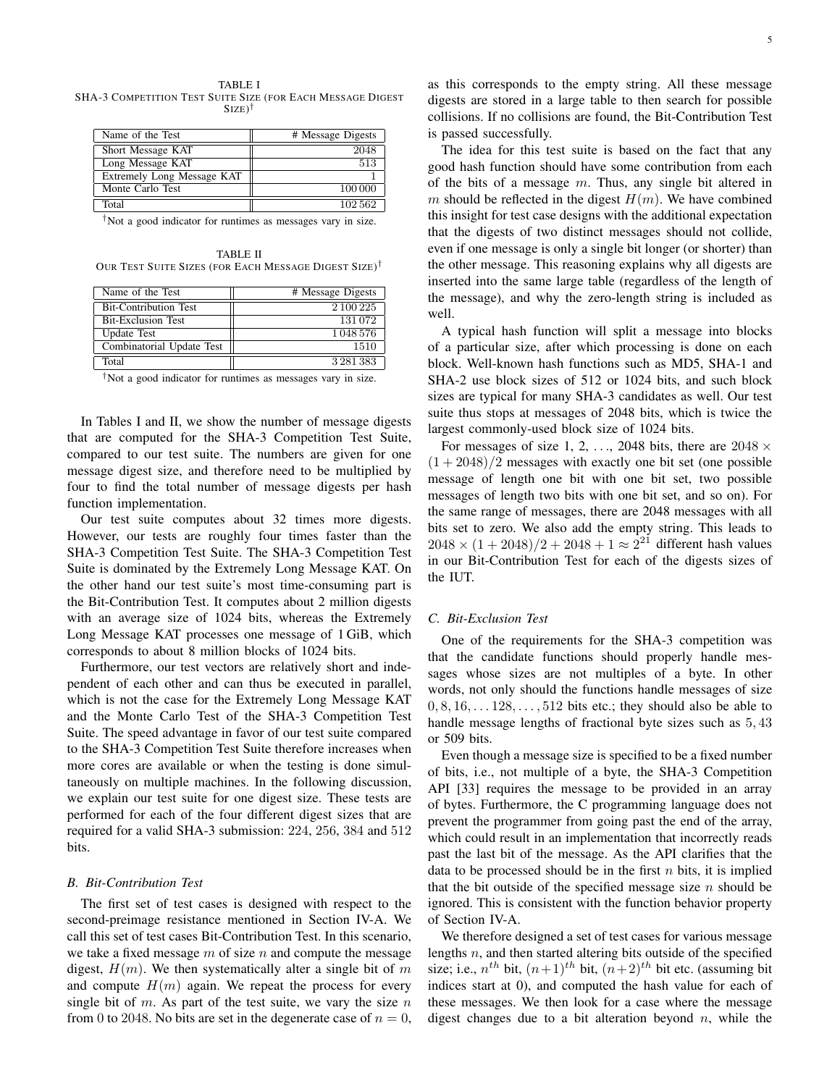TABLE I SHA-3 COMPETITION TEST SUITE SIZE (FOR EACH MESSAGE DIGEST  $SIZE)$ <sup>†</sup>

| Name of the Test           | # Message Digests |
|----------------------------|-------------------|
| Short Message KAT          | 2048              |
| Long Message KAT           | 513               |
| Extremely Long Message KAT |                   |
| Monte Carlo Test           | 100 000           |
| Total                      | 102562            |
|                            |                   |

†Not a good indicator for runtimes as messages vary in size.

TABLE II OUR TEST SUITE SIZES (FOR EACH MESSAGE DIGEST SIZE)†

| Name of the Test             | # Message Digests |
|------------------------------|-------------------|
| <b>Bit-Contribution Test</b> | 2 100 225         |
| <b>Bit-Exclusion Test</b>    | 131072            |
| <b>Update Test</b>           | 1 048 576         |
| Combinatorial Update Test    | 1510              |
| Total                        | 3 2 8 1 3 8 3     |

†Not a good indicator for runtimes as messages vary in size.

In Tables I and II, we show the number of message digests that are computed for the SHA-3 Competition Test Suite, compared to our test suite. The numbers are given for one message digest size, and therefore need to be multiplied by four to fnd the total number of message digests per hash function implementation.

Our test suite computes about 32 times more digests. However, our tests are roughly four times faster than the SHA-3 Competition Test Suite. The SHA-3 Competition Test Suite is dominated by the Extremely Long Message KAT. On the other hand our test suite's most time-consuming part is the Bit-Contribution Test. It computes about 2 million digests with an average size of 1024 bits, whereas the Extremely Long Message KAT processes one message of 1 GiB, which corresponds to about 8 million blocks of 1024 bits.

Furthermore, our test vectors are relatively short and independent of each other and can thus be executed in parallel, which is not the case for the Extremely Long Message KAT and the Monte Carlo Test of the SHA-3 Competition Test Suite. The speed advantage in favor of our test suite compared to the SHA-3 Competition Test Suite therefore increases when more cores are available or when the testing is done simultaneously on multiple machines. In the following discussion, we explain our test suite for one digest size. These tests are performed for each of the four different digest sizes that are required for a valid SHA-3 submission: 224, 256, 384 and 512 bits.

### *B. Bit-Contribution Test*

The frst set of test cases is designed with respect to the second-preimage resistance mentioned in Section IV-A. We call this set of test cases Bit-Contribution Test. In this scenario, we take a fixed message  $m$  of size  $n$  and compute the message digest,  $H(m)$ . We then systematically alter a single bit of m and compute  $H(m)$  again. We repeat the process for every single bit of  $m$ . As part of the test suite, we vary the size  $n$ from 0 to 2048. No bits are set in the degenerate case of  $n = 0$ ,

as this corresponds to the empty string. All these message digests are stored in a large table to then search for possible collisions. If no collisions are found, the Bit-Contribution Test is passed successfully.

The idea for this test suite is based on the fact that any good hash function should have some contribution from each of the bits of a message  $m$ . Thus, any single bit altered in m should be reflected in the digest  $H(m)$ . We have combined this insight for test case designs with the additional expectation that the digests of two distinct messages should not collide, even if one message is only a single bit longer (or shorter) than the other message. This reasoning explains why all digests are inserted into the same large table (regardless of the length of the message), and why the zero-length string is included as well.

A typical hash function will split a message into blocks of a particular size, after which processing is done on each block. Well-known hash functions such as MD5, SHA-1 and SHA-2 use block sizes of 512 or 1024 bits, and such block sizes are typical for many SHA-3 candidates as well. Our test suite thus stops at messages of 2048 bits, which is twice the largest commonly-used block size of 1024 bits.

For messages of size 1, 2, ..., 2048 bits, there are  $2048 \times$  $(1 + 2048)/2$  messages with exactly one bit set (one possible message of length one bit with one bit set, two possible messages of length two bits with one bit set, and so on). For the same range of messages, there are 2048 messages with all bits set to zero. We also add the empty string. This leads to  $2048 \times (1 + 2048)/2 + 2048 + 1 \approx 2^{21}$  different hash values in our Bit-Contribution Test for each of the digests sizes of the IUT.

# *C. Bit-Exclusion Test*

One of the requirements for the SHA-3 competition was that the candidate functions should properly handle messages whose sizes are not multiples of a byte. In other words, not only should the functions handle messages of size  $0, 8, 16, \ldots$  128,  $\ldots$ , 512 bits etc.; they should also be able to handle message lengths of fractional byte sizes such as 5, 43 or 509 bits.

Even though a message size is specifed to be a fxed number of bits, i.e., not multiple of a byte, the SHA-3 Competition API [33] requires the message to be provided in an array of bytes. Furthermore, the C programming language does not prevent the programmer from going past the end of the array, which could result in an implementation that incorrectly reads past the last bit of the message. As the API clarifes that the data to be processed should be in the first  $n$  bits, it is implied that the bit outside of the specified message size  $n$  should be ignored. This is consistent with the function behavior property of Section IV-A.

We therefore designed a set of test cases for various message lengths  $n$ , and then started altering bits outside of the specified size; i.e.,  $n^{th}$  bit,  $(n+1)^{th}$  bit,  $(n+2)^{th}$  bit etc. (assuming bit indices start at 0), and computed the hash value for each of these messages. We then look for a case where the message digest changes due to a bit alteration beyond  $n$ , while the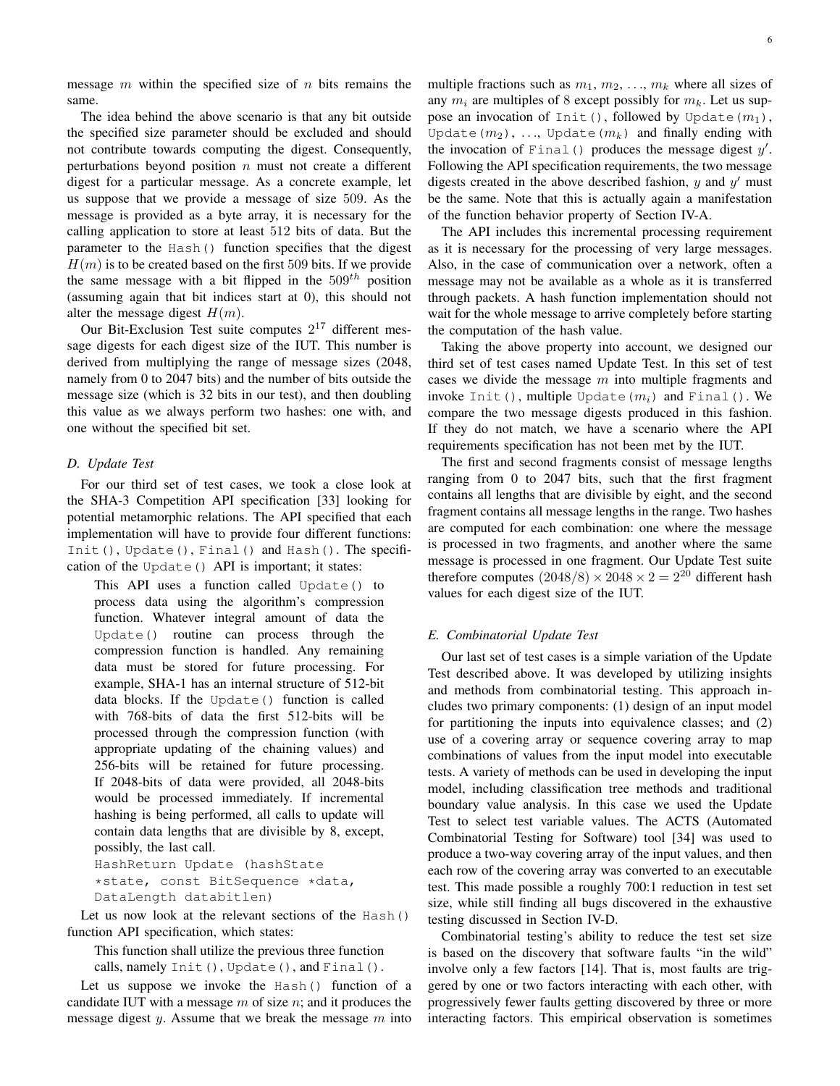message  $m$  within the specified size of  $n$  bits remains the same.

The idea behind the above scenario is that any bit outside the specifed size parameter should be excluded and should not contribute towards computing the digest. Consequently, perturbations beyond position  $n$  must not create a different digest for a particular message. As a concrete example, let us suppose that we provide a message of size 509. As the message is provided as a byte array, it is necessary for the calling application to store at least 512 bits of data. But the parameter to the Hash() function specifes that the digest  $H(m)$  is to be created based on the first 509 bits. If we provide the same message with a bit flipped in the  $509<sup>th</sup>$  position (assuming again that bit indices start at 0), this should not alter the message digest  $H(m)$ .

Our Bit-Exclusion Test suite computes  $2^{17}$  different message digests for each digest size of the IUT. This number is derived from multiplying the range of message sizes (2048, namely from 0 to 2047 bits) and the number of bits outside the message size (which is 32 bits in our test), and then doubling this value as we always perform two hashes: one with, and one without the specifed bit set.

#### *D. Update Test*

For our third set of test cases, we took a close look at the SHA-3 Competition API specifcation [33] looking for potential metamorphic relations. The API specifed that each implementation will have to provide four different functions: Init(), Update(), Final() and Hash(). The specifcation of the Update() API is important; it states:

This API uses a function called Update() to process data using the algorithm's compression function. Whatever integral amount of data the Update() routine can process through the compression function is handled. Any remaining data must be stored for future processing. For example, SHA-1 has an internal structure of 512-bit data blocks. If the Update() function is called with 768-bits of data the frst 512-bits will be processed through the compression function (with appropriate updating of the chaining values) and 256-bits will be retained for future processing. If 2048-bits of data were provided, all 2048-bits would be processed immediately. If incremental hashing is being performed, all calls to update will contain data lengths that are divisible by 8, except, possibly, the last call.

HashReturn Update (hashState \*state, const BitSequence \*data, DataLength databitlen)

Let us now look at the relevant sections of the Hash() function API specifcation, which states:

This function shall utilize the previous three function calls, namely Init(), Update(), and Final().

Let us suppose we invoke the Hash() function of a candidate IUT with a message  $m$  of size  $n$ ; and it produces the message digest  $y$ . Assume that we break the message  $m$  into multiple fractions such as  $m_1, m_2, \ldots, m_k$  where all sizes of any  $m_i$  are multiples of 8 except possibly for  $m_k$ . Let us suppose an invocation of Init(), followed by Update( $m_1$ ), Update( $m_2$ ), ..., Update( $m_k$ ) and finally ending with the invocation of Final() produces the message digest  $y'$ . Following the API specification requirements, the two message digests created in the above described fashion,  $y$  and  $y'$  must be the same. Note that this is actually again a manifestation of the function behavior property of Section IV-A.

The API includes this incremental processing requirement as it is necessary for the processing of very large messages. Also, in the case of communication over a network, often a message may not be available as a whole as it is transferred through packets. A hash function implementation should not wait for the whole message to arrive completely before starting the computation of the hash value.

Taking the above property into account, we designed our third set of test cases named Update Test. In this set of test cases we divide the message  $m$  into multiple fragments and invoke Init(), multiple Update $(m_i)$  and Final(). We compare the two message digests produced in this fashion. If they do not match, we have a scenario where the API requirements specifcation has not been met by the IUT.

The frst and second fragments consist of message lengths ranging from 0 to 2047 bits, such that the frst fragment contains all lengths that are divisible by eight, and the second fragment contains all message lengths in the range. Two hashes are computed for each combination: one where the message is processed in two fragments, and another where the same message is processed in one fragment. Our Update Test suite therefore computes  $(2048/8) \times 2048 \times 2 = 2^{20}$  different hash values for each digest size of the IUT.

#### *E. Combinatorial Update Test*

Our last set of test cases is a simple variation of the Update Test described above. It was developed by utilizing insights and methods from combinatorial testing. This approach includes two primary components: (1) design of an input model for partitioning the inputs into equivalence classes; and (2) use of a covering array or sequence covering array to map combinations of values from the input model into executable tests. A variety of methods can be used in developing the input model, including classifcation tree methods and traditional boundary value analysis. In this case we used the Update Test to select test variable values. The ACTS (Automated Combinatorial Testing for Software) tool [34] was used to produce a two-way covering array of the input values, and then each row of the covering array was converted to an executable test. This made possible a roughly 700:1 reduction in test set size, while still fnding all bugs discovered in the exhaustive testing discussed in Section IV-D.

Combinatorial testing's ability to reduce the test set size is based on the discovery that software faults "in the wild" involve only a few factors [14]. That is, most faults are triggered by one or two factors interacting with each other, with progressively fewer faults getting discovered by three or more interacting factors. This empirical observation is sometimes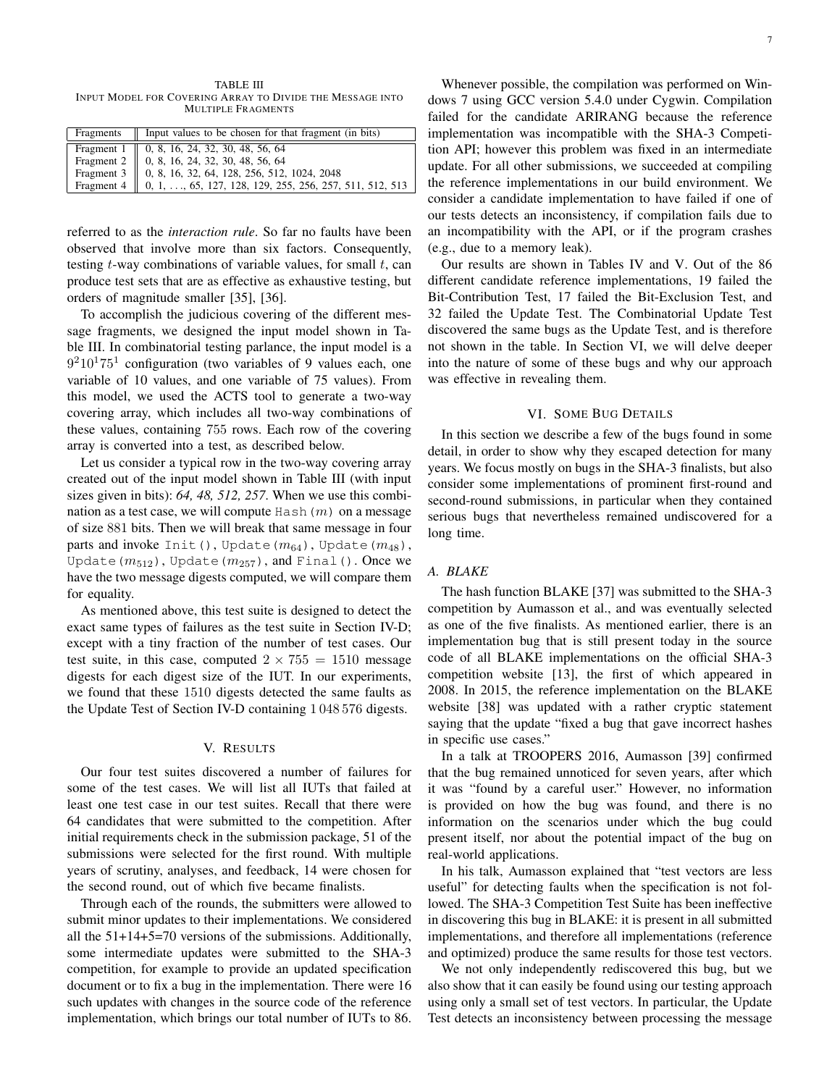TABLE III INPUT MODEL FOR COVERING ARRAY TO DIVIDE THE MESSAGE INTO MULTIPLE FRAGMENTS

| Fragments    Input values to be chosen for that fragment (in bits)                                                                                                                                                                |
|-----------------------------------------------------------------------------------------------------------------------------------------------------------------------------------------------------------------------------------|
|                                                                                                                                                                                                                                   |
|                                                                                                                                                                                                                                   |
|                                                                                                                                                                                                                                   |
| Fragment 1   0, 8, 16, 24, 32, 30, 48, 56, 64<br>Fragment 2   0, 8, 16, 24, 32, 30, 48, 56, 64<br>Fragment 3   0, 8, 16, 32, 64, 128, 256, 512, 1024, 2048<br>Fragment 4   0, 1, , 65, 127, 128, 129, 255, 256, 257, 511, 512, 51 |

referred to as the *interaction rule*. So far no faults have been observed that involve more than six factors. Consequently, testing  $t$ -way combinations of variable values, for small  $t$ , can produce test sets that are as effective as exhaustive testing, but orders of magnitude smaller [35], [36].

To accomplish the judicious covering of the different message fragments, we designed the input model shown in Table III. In combinatorial testing parlance, the input model is a  $9<sup>2</sup>10<sup>1</sup>75<sup>1</sup>$  configuration (two variables of 9 values each, one variable of 10 values, and one variable of 75 values). From this model, we used the ACTS tool to generate a two-way covering array, which includes all two-way combinations of these values, containing 755 rows. Each row of the covering array is converted into a test, as described below.

Let us consider a typical row in the two-way covering array created out of the input model shown in Table III (with input sizes given in bits): *64, 48, 512, 257*. When we use this combination as a test case, we will compute  $Hash(m)$  on a message of size 881 bits. Then we will break that same message in four parts and invoke Init(), Update( $m_{64}$ ), Update( $m_{48}$ ), Update( $m_{512}$ ), Update( $m_{257}$ ), and Final(). Once we have the two message digests computed, we will compare them for equality.

As mentioned above, this test suite is designed to detect the exact same types of failures as the test suite in Section IV-D; except with a tiny fraction of the number of test cases. Our test suite, in this case, computed  $2 \times 755 = 1510$  message digests for each digest size of the IUT. In our experiments, we found that these 1510 digests detected the same faults as the Update Test of Section IV-D containing 1 048 576 digests.

#### V. RESULTS

Our four test suites discovered a number of failures for some of the test cases. We will list all IUTs that failed at least one test case in our test suites. Recall that there were 64 candidates that were submitted to the competition. After initial requirements check in the submission package, 51 of the submissions were selected for the frst round. With multiple years of scrutiny, analyses, and feedback, 14 were chosen for the second round, out of which fve became fnalists.

Through each of the rounds, the submitters were allowed to submit minor updates to their implementations. We considered all the 51+14+5=70 versions of the submissions. Additionally, some intermediate updates were submitted to the SHA-3 competition, for example to provide an updated specifcation document or to fix a bug in the implementation. There were 16 such updates with changes in the source code of the reference implementation, which brings our total number of IUTs to 86.

Whenever possible, the compilation was performed on Windows 7 using GCC version 5.4.0 under Cygwin. Compilation failed for the candidate ARIRANG because the reference implementation was incompatible with the SHA-3 Competition API; however this problem was fxed in an intermediate update. For all other submissions, we succeeded at compiling the reference implementations in our build environment. We consider a candidate implementation to have failed if one of our tests detects an inconsistency, if compilation fails due to an incompatibility with the API, or if the program crashes (e.g., due to a memory leak).

Our results are shown in Tables IV and V. Out of the 86 different candidate reference implementations, 19 failed the Bit-Contribution Test, 17 failed the Bit-Exclusion Test, and 32 failed the Update Test. The Combinatorial Update Test discovered the same bugs as the Update Test, and is therefore not shown in the table. In Section VI, we will delve deeper into the nature of some of these bugs and why our approach was effective in revealing them.

#### VI. SOME BUG DETAILS

In this section we describe a few of the bugs found in some detail, in order to show why they escaped detection for many years. We focus mostly on bugs in the SHA-3 fnalists, but also consider some implementations of prominent frst-round and second-round submissions, in particular when they contained serious bugs that nevertheless remained undiscovered for a long time.

#### *A. BLAKE*

The hash function BLAKE [37] was submitted to the SHA-3 competition by Aumasson et al., and was eventually selected as one of the fve fnalists. As mentioned earlier, there is an implementation bug that is still present today in the source code of all BLAKE implementations on the official SHA-3 competition website [13], the frst of which appeared in 2008. In 2015, the reference implementation on the BLAKE website [38] was updated with a rather cryptic statement saying that the update "fxed a bug that gave incorrect hashes in specifc use cases."

In a talk at TROOPERS 2016, Aumasson [39] confrmed that the bug remained unnoticed for seven years, after which it was "found by a careful user." However, no information is provided on how the bug was found, and there is no information on the scenarios under which the bug could present itself, nor about the potential impact of the bug on real-world applications.

In his talk, Aumasson explained that "test vectors are less useful" for detecting faults when the specifcation is not followed. The SHA-3 Competition Test Suite has been ineffective in discovering this bug in BLAKE: it is present in all submitted implementations, and therefore all implementations (reference and optimized) produce the same results for those test vectors.

We not only independently rediscovered this bug, but we also show that it can easily be found using our testing approach using only a small set of test vectors. In particular, the Update Test detects an inconsistency between processing the message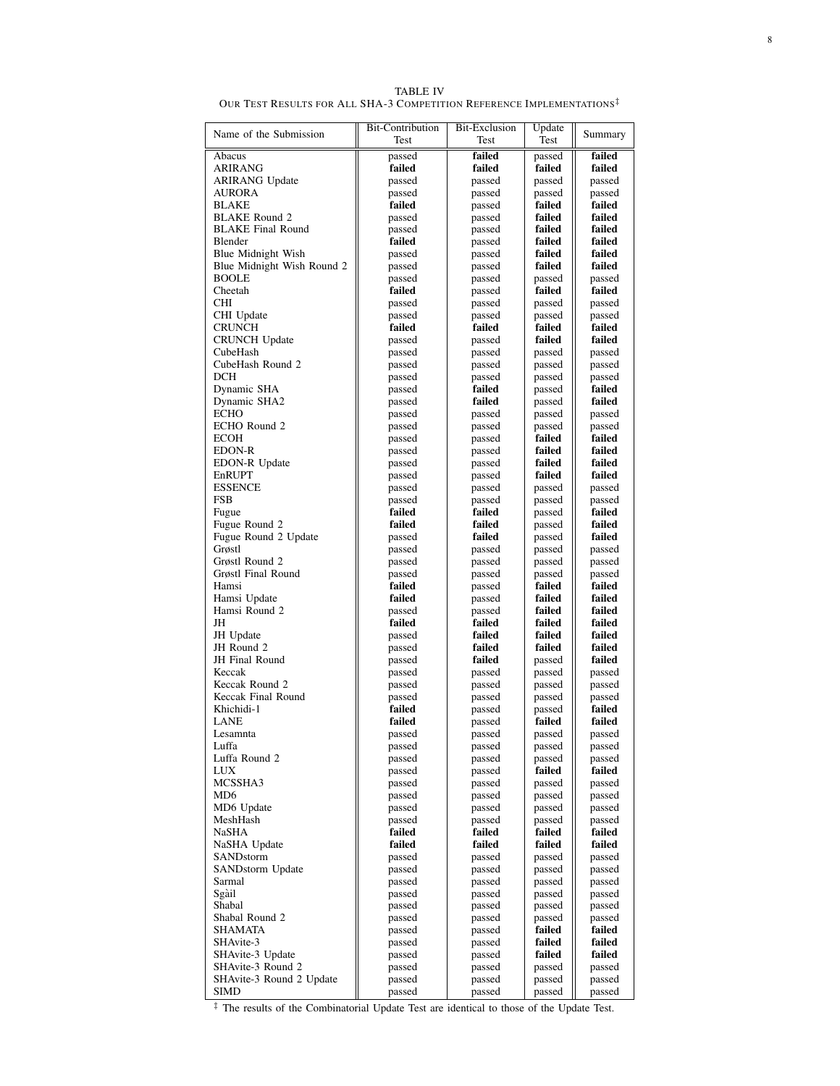TABLE IV<br>Our Test Results for All SHA-3 Competition Reference Implementations<sup>‡</sup>

| Name of the Submission     | <b>Bit-Contribution</b><br>Test | <b>Bit-Exclusion</b><br>Test | Update<br>Test   | Summary          |
|----------------------------|---------------------------------|------------------------------|------------------|------------------|
| Abacus                     |                                 | failed                       | passed           | failed           |
| ARIRANG                    | passed<br>failed<br>failed      |                              | failed           | failed           |
| <b>ARIRANG Update</b>      | passed                          | passed                       | passed           | passed           |
| AURORA                     | passed                          | passed                       | passed           | passed           |
| BLAKE                      | failed                          | passed                       | failed           | failed           |
| <b>BLAKE Round 2</b>       | passed                          | passed                       | failed           | failed           |
| <b>BLAKE Final Round</b>   | passed                          | passed                       | failed           | failed           |
| Blender                    | failed                          | passed                       | failed           | failed           |
| Blue Midnight Wish         | passed                          | passed                       | failed           | failed           |
| Blue Midnight Wish Round 2 | passed                          | passed                       | failed           | failed           |
| <b>BOOLE</b>               | passed                          | passed                       | passed           | passed           |
| Cheetah                    | failed                          | passed                       | failed           | failed           |
| <b>CHI</b>                 | passed                          | passed                       | passed           | passed           |
| CHI Update                 | passed                          | passed                       | passed           | passed           |
| CRUNCH                     | failed<br>passed                | failed<br>passed             | failed<br>failed | failed<br>failed |
| CRUNCH Update<br>CubeHash  | passed                          | passed                       | passed           | passed           |
| CubeHash Round 2           | passed                          | passed                       | passed           | passed           |
| DCH                        | passed                          | passed                       | passed           | passed           |
| Dynamic SHA                | passed                          | failed                       | passed           | failed           |
| Dynamic SHA2               | passed                          | failed                       | passed           | failed           |
| <b>ECHO</b>                | passed                          | passed                       | passed           | passed           |
| ECHO Round 2               | passed                          | passed                       | passed           | passed           |
| ECOH                       | passed                          | passed                       | failed           | failed           |
| EDON-R                     | passed                          | passed                       | failed           | failed           |
| EDON-R Update              | passed                          | passed                       | failed           | failed           |
| EnRUPT                     | passed                          | passed                       | failed           | failed           |
| <b>ESSENCE</b>             | passed                          | passed                       | passed           | passed           |
| FSB                        | passed                          | passed                       | passed           | passed           |
| Fugue<br>Fugue Round 2     | failed<br>failed                | failed<br>failed             | passed           | failed<br>failed |
| Fugue Round 2 Update       | passed                          | failed                       | passed<br>passed | failed           |
| Grøstl                     | passed                          | passed                       | passed           | passed           |
| Grøstl Round 2             | passed                          | passed                       | passed           | passed           |
| Grøstl Final Round         | passed                          | passed                       | passed           | passed           |
| Hamsi                      | failed                          | passed                       | failed           | failed           |
| Hamsi Update               | failed                          | passed                       | failed           | failed           |
| Hamsi Round 2              | passed                          | passed                       | failed           | failed           |
| JH                         | failed                          | failed                       | failed           | failed           |
| JH Update                  | passed                          | failed                       | failed           | failed           |
| JH Round 2                 | passed                          | failed                       | failed           | failed           |
| JH Final Round<br>Keccak   | passed                          | failed                       | passed           | failed           |
| Keccak Round 2             | passed<br>passed                | passed<br>passed             | passed           | passed<br>passed |
| Keccak Final Round         | passed                          | passed                       | passed<br>passed | passed           |
| Khichidi-1                 | failed                          | passed                       | passed           | failed           |
| <b>LANE</b>                | failed                          | passed                       | failed           | failed           |
| Lesamnta                   | passed                          | passed                       | passed           | passed           |
| Luffa                      | passed                          | passed                       | passed           | passed           |
| Luffa Round 2              | passed                          | passed                       | passed           | passed           |
| <b>LUX</b>                 | passed                          | passed                       | failed           | failed           |
| MCSSHA3                    | passed                          | passed                       | passed           | passed           |
| MD6                        | passed                          | passed                       | passed           | passed           |
| MD6 Update                 | passed                          | passed                       | passed           | passed           |
| MeshHash<br>NaSHA          | passed<br>failed                | passed<br>failed             | passed<br>failed | passed<br>failed |
| NaSHA Update               | failed                          | failed                       | failed           | failed           |
| SANDstorm                  | passed                          | passed                       | passed           | passed           |
| SANDstorm Update           | passed                          | passed                       | passed           | passed           |
| Sarmal                     | passed                          | passed                       | passed           | passed           |
| Sgàil                      | passed                          | passed                       | passed           | passed           |
| Shabal                     | passed                          | passed                       | passed           | passed           |
| Shabal Round 2             | passed                          | passed                       | passed           | passed           |
| SHAMATA                    | passed                          | passed                       | failed           | failed           |
| SHAvite-3                  | passed                          | passed                       | failed           | failed           |
| SHAvite-3 Update           | passed                          | passed                       | failed           | failed           |
| SHAvite-3 Round 2          | passed                          | passed                       | passed           | passed           |
| SHAvite-3 Round 2 Update   | passed                          | passed                       | passed           | passed           |
| SIMD                       | passed                          | passed                       | passed           | passed           |

‡ The results of the Combinatorial Update Test are identical to those of the Update Test.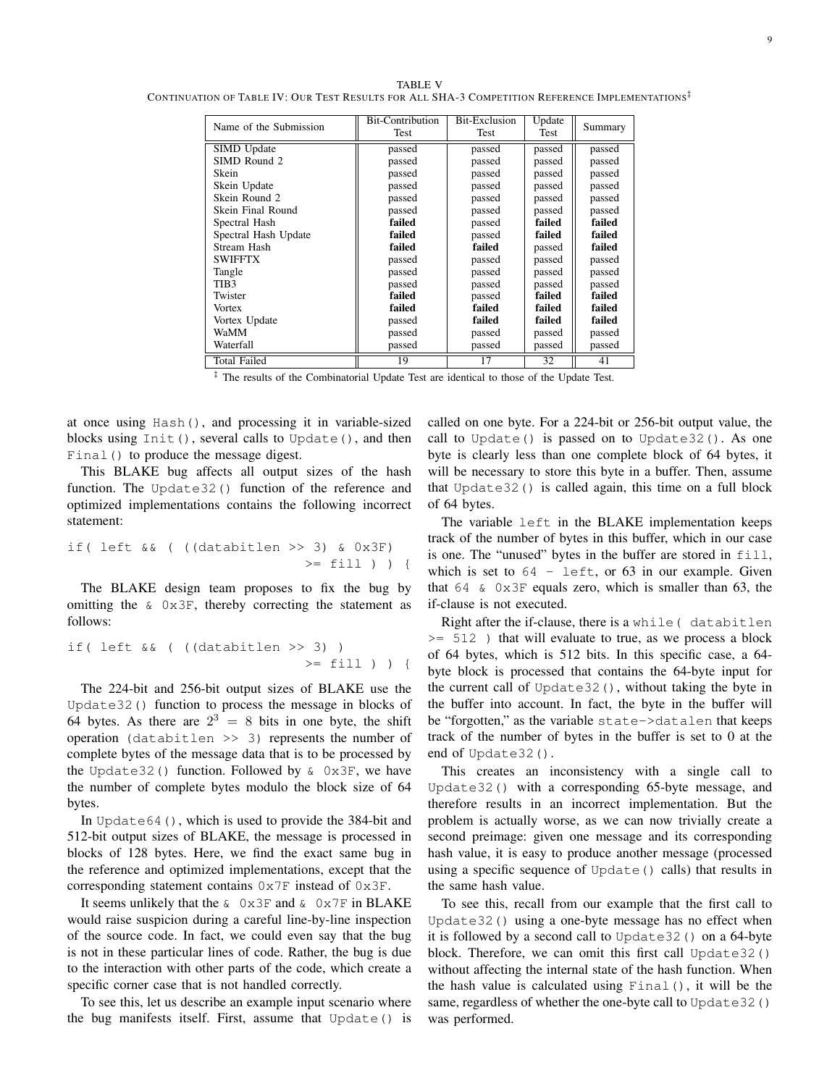TABLE V CONTINUATION OF TABLE IV: OUR TEST RESULTS FOR ALL SHA-3 COMPETITION REFERENCE IMPLEMENTATIONS<sup> $‡$ </sup>

| Name of the Submission | <b>Bit-Contribution</b><br>Test | <b>Bit-Exclusion</b><br>Test | Update<br>Test | Summary |
|------------------------|---------------------------------|------------------------------|----------------|---------|
| SIMD Update            | passed                          | passed                       | passed         | passed  |
| SIMD Round 2           | passed                          | passed                       | passed         | passed  |
| Skein                  | passed                          | passed                       | passed         | passed  |
| Skein Update           | passed                          | passed                       | passed         | passed  |
| Skein Round 2          | passed                          | passed                       | passed         | passed  |
| Skein Final Round      | passed                          | passed                       | passed         | passed  |
| Spectral Hash          | failed                          | passed                       | failed         | failed  |
| Spectral Hash Update   | failed                          | passed                       | failed         | failed  |
| Stream Hash            | failed                          | failed                       | passed         | failed  |
| <b>SWIFFTX</b>         | passed                          | passed                       | passed         | passed  |
| Tangle                 | passed                          | passed                       | passed         | passed  |
| TIB <sub>3</sub>       | passed                          | passed                       | passed         | passed  |
| Twister                | failed                          | passed                       | failed         | failed  |
| <b>Vortex</b>          | failed                          | failed                       | failed         | failed  |
| Vortex Update          | passed                          | failed                       | failed         | failed  |
| WaMM                   | passed                          | passed                       | passed         | passed  |
| Waterfall              | passed                          | passed                       | passed         | passed  |
| Total Failed           | 19                              | 17                           | 32             | 41      |

‡ The results of the Combinatorial Update Test are identical to those of the Update Test.

at once using Hash(), and processing it in variable-sized blocks using Init(), several calls to Update(), and then Final() to produce the message digest.

This BLAKE bug affects all output sizes of the hash function. The Update32() function of the reference and optimized implementations contains the following incorrect statement:

if ( left & ( (databitlen >> 3) & 0x3F) 
$$
\geq
$$
 \n $=$  \n $=$  \n $=$  \n $=$  \n $=$  \n $=$  \n $=$  \n $=$  \n $=$  \n $=$  \n $=$  \n $=$  \n $=$  \n $=$  \n $=$  \n $=$  \n $=$  \n $=$  \n $=$  \n $=$  \n $=$  \n $=$  \n $=$  \n $=$  \n $=$  \n $=$  \n $=$  \n $=$  \n $=$  \n $=$  \n $=$  \n $=$  \n $=$  \n $=$  \n $=$  \n $=$  \n $=$  \n $=$  \n $=$  \n $=$  \n $=$  \n $=$  \n $=$  \n $=$  \n $=$  \n $=$  \n $=$  \n $=$  \n $=$  \n $=$  \n $=$  \n $=$  \n $=$  \n $=$  \n $=$  \n $=$ 

The BLAKE design team proposes to fix the bug by omitting the  $\&$  0x3F, thereby correcting the statement as follows:

$$
\begin{array}{l}\n \text{if (left && ( (databitlen > > 3) )} \\
 & & & & & & \\
 \hline\n & & & & & & \\
 \hline\n & & & & & & \\
 \end{array}
$$

The 224-bit and 256-bit output sizes of BLAKE use the Update32() function to process the message in blocks of 64 bytes. As there are  $2^3 = 8$  bits in one byte, the shift operation (databitlen >> 3) represents the number of complete bytes of the message data that is to be processed by the Update32() function. Followed by  $\&$  0x3F, we have the number of complete bytes modulo the block size of 64 bytes.

In Update64(), which is used to provide the 384-bit and 512-bit output sizes of BLAKE, the message is processed in blocks of 128 bytes. Here, we fnd the exact same bug in the reference and optimized implementations, except that the corresponding statement contains 0x7F instead of 0x3F.

It seems unlikely that the  $\&$  0x3F and  $\&$  0x7F in BLAKE would raise suspicion during a careful line-by-line inspection of the source code. In fact, we could even say that the bug is not in these particular lines of code. Rather, the bug is due to the interaction with other parts of the code, which create a specifc corner case that is not handled correctly.

To see this, let us describe an example input scenario where the bug manifests itself. First, assume that Update() is called on one byte. For a 224-bit or 256-bit output value, the call to Update() is passed on to Update32(). As one byte is clearly less than one complete block of 64 bytes, it will be necessary to store this byte in a buffer. Then, assume that Update32() is called again, this time on a full block of 64 bytes.

The variable left in the BLAKE implementation keeps track of the number of bytes in this buffer, which in our case is one. The "unused" bytes in the buffer are stored in  $f111$ , which is set to  $64$  - left, or  $63$  in our example. Given that  $64 \& 0x3F$  equals zero, which is smaller than 63, the if-clause is not executed.

Right after the if-clause, there is a while( databitlen >= 512 ) that will evaluate to true, as we process a block of 64 bytes, which is 512 bits. In this specifc case, a 64 byte block is processed that contains the 64-byte input for the current call of Update32(), without taking the byte in the buffer into account. In fact, the byte in the buffer will be "forgotten," as the variable state->datalen that keeps track of the number of bytes in the buffer is set to 0 at the end of Update32().

This creates an inconsistency with a single call to Update32() with a corresponding 65-byte message, and therefore results in an incorrect implementation. But the problem is actually worse, as we can now trivially create a second preimage: given one message and its corresponding hash value, it is easy to produce another message (processed using a specifc sequence of Update() calls) that results in the same hash value.

To see this, recall from our example that the frst call to Update32() using a one-byte message has no effect when it is followed by a second call to Update32() on a 64-byte block. Therefore, we can omit this first call Update32() without affecting the internal state of the hash function. When the hash value is calculated using Final(), it will be the same, regardless of whether the one-byte call to Update32() was performed.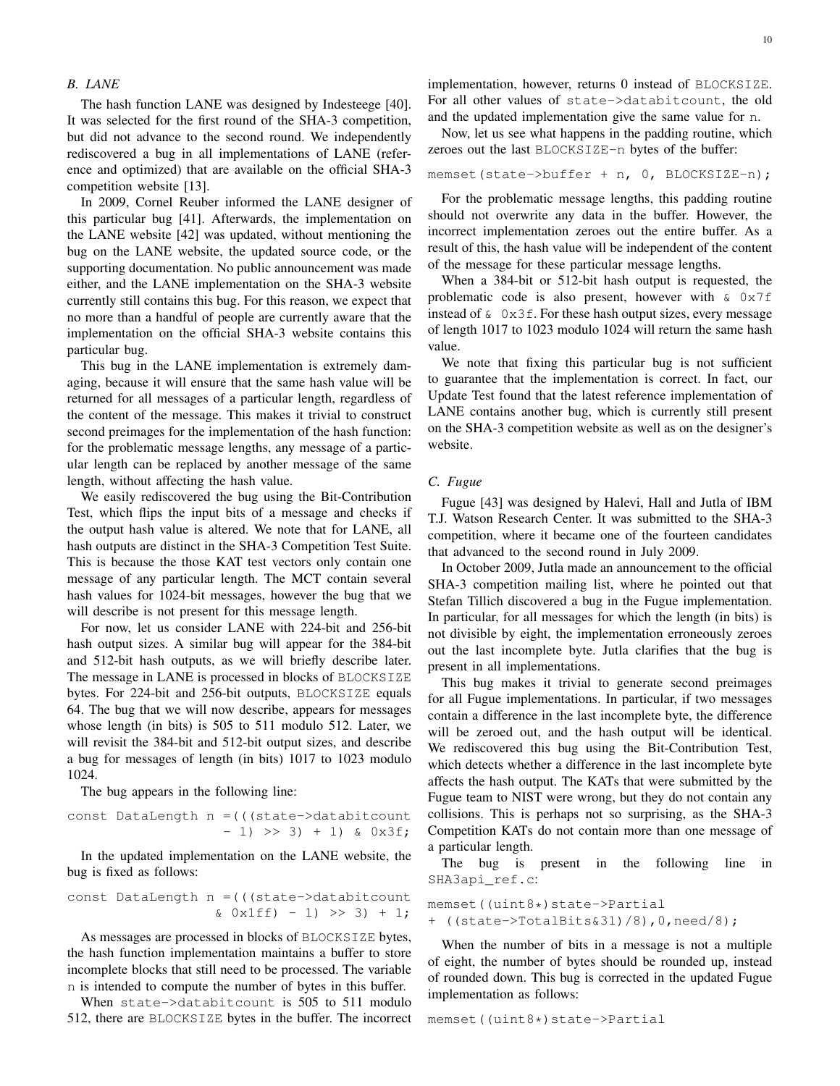#### *B. LANE*

The hash function LANE was designed by Indesteege [40]. It was selected for the frst round of the SHA-3 competition, but did not advance to the second round. We independently rediscovered a bug in all implementations of LANE (reference and optimized) that are available on the official SHA-3 competition website [13].

In 2009, Cornel Reuber informed the LANE designer of this particular bug [41]. Afterwards, the implementation on the LANE website [42] was updated, without mentioning the bug on the LANE website, the updated source code, or the supporting documentation. No public announcement was made either, and the LANE implementation on the SHA-3 website currently still contains this bug. For this reason, we expect that no more than a handful of people are currently aware that the implementation on the official SHA-3 website contains this particular bug.

This bug in the LANE implementation is extremely damaging, because it will ensure that the same hash value will be returned for all messages of a particular length, regardless of the content of the message. This makes it trivial to construct second preimages for the implementation of the hash function: for the problematic message lengths, any message of a particular length can be replaced by another message of the same length, without affecting the hash value.

We easily rediscovered the bug using the Bit-Contribution Test, which fips the input bits of a message and checks if the output hash value is altered. We note that for LANE, all hash outputs are distinct in the SHA-3 Competition Test Suite. This is because the those KAT test vectors only contain one message of any particular length. The MCT contain several hash values for 1024-bit messages, however the bug that we will describe is not present for this message length.

For now, let us consider LANE with 224-bit and 256-bit hash output sizes. A similar bug will appear for the 384-bit and 512-bit hash outputs, as we will briefy describe later. The message in LANE is processed in blocks of BLOCKSIZE bytes. For 224-bit and 256-bit outputs, BLOCKSIZE equals 64. The bug that we will now describe, appears for messages whose length (in bits) is 505 to 511 modulo 512. Later, we will revisit the 384-bit and 512-bit output sizes, and describe a bug for messages of length (in bits) 1017 to 1023 modulo 1024.

The bug appears in the following line:

$$
const \text{ DataLength } n = (((state->databitcount\n-- 1) >> 3) + 1) & 0x3f;
$$

In the updated implementation on the LANE website, the bug is fxed as follows:

$$
\begin{array}{rcl}\n\text{const}\n\text{ DataLength}\n\text{ n} &= \left( \left( \text{state} - \text{Databitcount} \right. \\
\text{& 0x1ff} & - 1 \right) & > 3 \right) + 1;\n\end{array}
$$

As messages are processed in blocks of BLOCKSIZE bytes, the hash function implementation maintains a buffer to store incomplete blocks that still need to be processed. The variable n is intended to compute the number of bytes in this buffer.

When state->databitcount is 505 to 511 modulo 512, there are BLOCKSIZE bytes in the buffer. The incorrect implementation, however, returns 0 instead of BLOCKSIZE. For all other values of state->databitcount, the old and the updated implementation give the same value for n.

Now, let us see what happens in the padding routine, which zeroes out the last BLOCKSIZE-n bytes of the buffer:

# memset(state->buffer + n, 0, BLOCKSIZE-n);

For the problematic message lengths, this padding routine should not overwrite any data in the buffer. However, the incorrect implementation zeroes out the entire buffer. As a result of this, the hash value will be independent of the content of the message for these particular message lengths.

When a 384-bit or 512-bit hash output is requested, the problematic code is also present, however with  $\&$  0x7f instead of  $\&$  0x3f. For these hash output sizes, every message of length 1017 to 1023 modulo 1024 will return the same hash value.

We note that fixing this particular bug is not sufficient to guarantee that the implementation is correct. In fact, our Update Test found that the latest reference implementation of LANE contains another bug, which is currently still present on the SHA-3 competition website as well as on the designer's website.

#### *C. Fugue*

Fugue [43] was designed by Halevi, Hall and Jutla of IBM T.J. Watson Research Center. It was submitted to the SHA-3 competition, where it became one of the fourteen candidates that advanced to the second round in July 2009.

In October 2009, Jutla made an announcement to the official SHA-3 competition mailing list, where he pointed out that Stefan Tillich discovered a bug in the Fugue implementation. In particular, for all messages for which the length (in bits) is not divisible by eight, the implementation erroneously zeroes out the last incomplete byte. Jutla clarifes that the bug is present in all implementations.

This bug makes it trivial to generate second preimages for all Fugue implementations. In particular, if two messages contain a difference in the last incomplete byte, the difference will be zeroed out, and the hash output will be identical. We rediscovered this bug using the Bit-Contribution Test, which detects whether a difference in the last incomplete byte affects the hash output. The KATs that were submitted by the Fugue team to NIST were wrong, but they do not contain any collisions. This is perhaps not so surprising, as the SHA-3 Competition KATs do not contain more than one message of a particular length.

The bug is present in the following line in SHA3api\_ref.c:

memset((uint8\*)state->Partial + ((state->TotalBits&31)/8),0,need/8);

When the number of bits in a message is not a multiple of eight, the number of bytes should be rounded up, instead of rounded down. This bug is corrected in the updated Fugue implementation as follows:

memset((uint8\*)state->Partial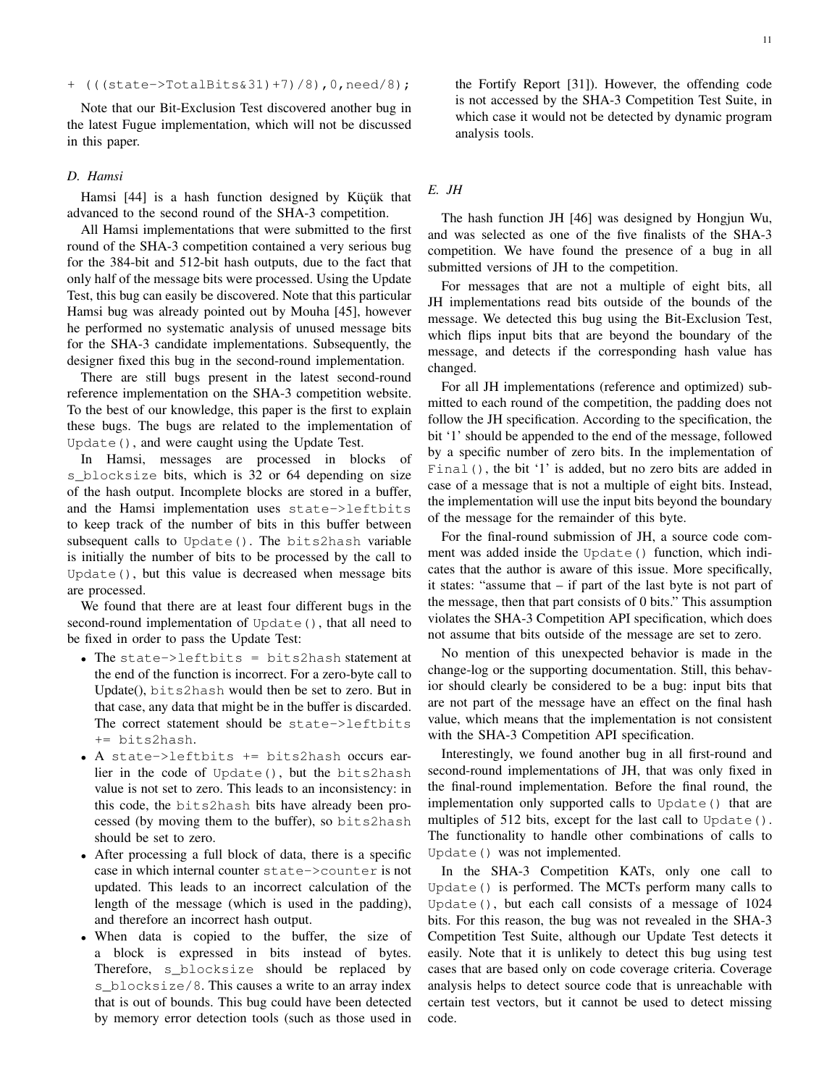+ (((state->TotalBits&31)+7)/8),0,need/8);

Note that our Bit-Exclusion Test discovered another bug in the latest Fugue implementation, which will not be discussed in this paper.

#### *D. Hamsi*

Hamsi [44] is a hash function designed by Küçük that advanced to the second round of the SHA-3 competition.

All Hamsi implementations that were submitted to the frst round of the SHA-3 competition contained a very serious bug for the 384-bit and 512-bit hash outputs, due to the fact that only half of the message bits were processed. Using the Update Test, this bug can easily be discovered. Note that this particular Hamsi bug was already pointed out by Mouha [45], however he performed no systematic analysis of unused message bits for the SHA-3 candidate implementations. Subsequently, the designer fxed this bug in the second-round implementation.

There are still bugs present in the latest second-round reference implementation on the SHA-3 competition website. To the best of our knowledge, this paper is the frst to explain these bugs. The bugs are related to the implementation of Update(), and were caught using the Update Test.

In Hamsi, messages are processed in blocks of s\_blocksize bits, which is 32 or 64 depending on size of the hash output. Incomplete blocks are stored in a buffer, and the Hamsi implementation uses state->leftbits to keep track of the number of bits in this buffer between subsequent calls to Update(). The bits2hash variable is initially the number of bits to be processed by the call to Update(), but this value is decreased when message bits are processed.

We found that there are at least four different bugs in the second-round implementation of Update (), that all need to be fxed in order to pass the Update Test:

- The state->leftbits = bits2hash statement at the end of the function is incorrect. For a zero-byte call to Update(), bits2hash would then be set to zero. But in that case, any data that might be in the buffer is discarded. The correct statement should be state->leftbits += bits2hash.
- A state->leftbits += bits2hash occurs earlier in the code of Update(), but the bits2hash value is not set to zero. This leads to an inconsistency: in this code, the bits2hash bits have already been processed (by moving them to the buffer), so bits2hash should be set to zero.
- After processing a full block of data, there is a specifc case in which internal counter state->counter is not updated. This leads to an incorrect calculation of the length of the message (which is used in the padding), and therefore an incorrect hash output.
- When data is copied to the buffer, the size of a block is expressed in bits instead of bytes. Therefore, s\_blocksize should be replaced by s\_blocksize/8. This causes a write to an array index that is out of bounds. This bug could have been detected by memory error detection tools (such as those used in

the Fortify Report [31]). However, the offending code is not accessed by the SHA-3 Competition Test Suite, in which case it would not be detected by dynamic program analysis tools.

# *E. JH*

The hash function JH [46] was designed by Hongjun Wu, and was selected as one of the fve fnalists of the SHA-3 competition. We have found the presence of a bug in all submitted versions of JH to the competition.

For messages that are not a multiple of eight bits, all JH implementations read bits outside of the bounds of the message. We detected this bug using the Bit-Exclusion Test, which fips input bits that are beyond the boundary of the message, and detects if the corresponding hash value has changed.

For all JH implementations (reference and optimized) submitted to each round of the competition, the padding does not follow the JH specifcation. According to the specifcation, the bit '1' should be appended to the end of the message, followed by a specifc number of zero bits. In the implementation of Final(), the bit '1' is added, but no zero bits are added in case of a message that is not a multiple of eight bits. Instead, the implementation will use the input bits beyond the boundary of the message for the remainder of this byte.

For the fnal-round submission of JH, a source code comment was added inside the Update() function, which indicates that the author is aware of this issue. More specifcally, it states: "assume that – if part of the last byte is not part of the message, then that part consists of 0 bits." This assumption violates the SHA-3 Competition API specifcation, which does not assume that bits outside of the message are set to zero.

No mention of this unexpected behavior is made in the change-log or the supporting documentation. Still, this behavior should clearly be considered to be a bug: input bits that are not part of the message have an effect on the fnal hash value, which means that the implementation is not consistent with the SHA-3 Competition API specification.

Interestingly, we found another bug in all frst-round and second-round implementations of JH, that was only fxed in the fnal-round implementation. Before the fnal round, the implementation only supported calls to Update() that are multiples of 512 bits, except for the last call to Update(). The functionality to handle other combinations of calls to Update() was not implemented.

In the SHA-3 Competition KATs, only one call to Update() is performed. The MCTs perform many calls to Update(), but each call consists of a message of 1024 bits. For this reason, the bug was not revealed in the SHA-3 Competition Test Suite, although our Update Test detects it easily. Note that it is unlikely to detect this bug using test cases that are based only on code coverage criteria. Coverage analysis helps to detect source code that is unreachable with certain test vectors, but it cannot be used to detect missing code.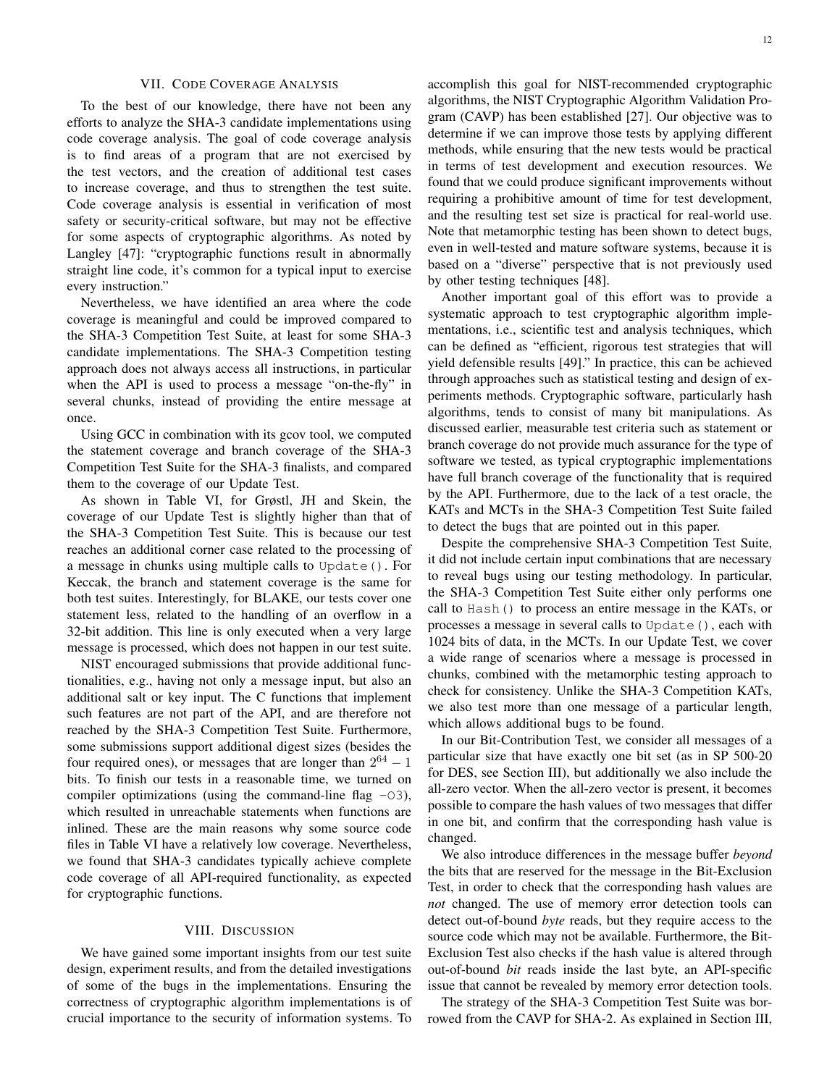#### VII. CODE COVERAGE ANALYSIS

To the best of our knowledge, there have not been any efforts to analyze the SHA-3 candidate implementations using code coverage analysis. The goal of code coverage analysis is to fnd areas of a program that are not exercised by the test vectors, and the creation of additional test cases to increase coverage, and thus to strengthen the test suite. Code coverage analysis is essential in verifcation of most safety or security-critical software, but may not be effective for some aspects of cryptographic algorithms. As noted by Langley [47]: "cryptographic functions result in abnormally straight line code, it's common for a typical input to exercise every instruction."

Nevertheless, we have identifed an area where the code coverage is meaningful and could be improved compared to the SHA-3 Competition Test Suite, at least for some SHA-3 candidate implementations. The SHA-3 Competition testing approach does not always access all instructions, in particular when the API is used to process a message "on-the-fy" in several chunks, instead of providing the entire message at once.

Using GCC in combination with its gcov tool, we computed the statement coverage and branch coverage of the SHA-3 Competition Test Suite for the SHA-3 fnalists, and compared them to the coverage of our Update Test.

As shown in Table VI, for Grøstl, JH and Skein, the coverage of our Update Test is slightly higher than that of the SHA-3 Competition Test Suite. This is because our test reaches an additional corner case related to the processing of a message in chunks using multiple calls to Update(). For Keccak, the branch and statement coverage is the same for both test suites. Interestingly, for BLAKE, our tests cover one statement less, related to the handling of an overfow in a 32-bit addition. This line is only executed when a very large message is processed, which does not happen in our test suite.

NIST encouraged submissions that provide additional functionalities, e.g., having not only a message input, but also an additional salt or key input. The C functions that implement such features are not part of the API, and are therefore not reached by the SHA-3 Competition Test Suite. Furthermore, some submissions support additional digest sizes (besides the four required ones), or messages that are longer than  $2^{64} - 1$ bits. To fnish our tests in a reasonable time, we turned on compiler optimizations (using the command-line flag  $-03$ ), which resulted in unreachable statements when functions are inlined. These are the main reasons why some source code fles in Table VI have a relatively low coverage. Nevertheless, we found that SHA-3 candidates typically achieve complete code coverage of all API-required functionality, as expected for cryptographic functions.

#### VIII. DISCUSSION

We have gained some important insights from our test suite design, experiment results, and from the detailed investigations of some of the bugs in the implementations. Ensuring the correctness of cryptographic algorithm implementations is of crucial importance to the security of information systems. To

accomplish this goal for NIST-recommended cryptographic algorithms, the NIST Cryptographic Algorithm Validation Program (CAVP) has been established [27]. Our objective was to determine if we can improve those tests by applying different methods, while ensuring that the new tests would be practical in terms of test development and execution resources. We found that we could produce signifcant improvements without requiring a prohibitive amount of time for test development, and the resulting test set size is practical for real-world use. Note that metamorphic testing has been shown to detect bugs, even in well-tested and mature software systems, because it is based on a "diverse" perspective that is not previously used by other testing techniques [48].

Another important goal of this effort was to provide a systematic approach to test cryptographic algorithm implementations, i.e., scientifc test and analysis techniques, which can be defined as "efficient, rigorous test strategies that will yield defensible results [49]." In practice, this can be achieved through approaches such as statistical testing and design of experiments methods. Cryptographic software, particularly hash algorithms, tends to consist of many bit manipulations. As discussed earlier, measurable test criteria such as statement or branch coverage do not provide much assurance for the type of software we tested, as typical cryptographic implementations have full branch coverage of the functionality that is required by the API. Furthermore, due to the lack of a test oracle, the KATs and MCTs in the SHA-3 Competition Test Suite failed to detect the bugs that are pointed out in this paper.

Despite the comprehensive SHA-3 Competition Test Suite, it did not include certain input combinations that are necessary to reveal bugs using our testing methodology. In particular, the SHA-3 Competition Test Suite either only performs one call to Hash() to process an entire message in the KATs, or processes a message in several calls to Update(), each with 1024 bits of data, in the MCTs. In our Update Test, we cover a wide range of scenarios where a message is processed in chunks, combined with the metamorphic testing approach to check for consistency. Unlike the SHA-3 Competition KATs, we also test more than one message of a particular length, which allows additional bugs to be found.

In our Bit-Contribution Test, we consider all messages of a particular size that have exactly one bit set (as in SP 500-20 for DES, see Section III), but additionally we also include the all-zero vector. When the all-zero vector is present, it becomes possible to compare the hash values of two messages that differ in one bit, and confrm that the corresponding hash value is changed.

We also introduce differences in the message buffer *beyond*  the bits that are reserved for the message in the Bit-Exclusion Test, in order to check that the corresponding hash values are *not* changed. The use of memory error detection tools can detect out-of-bound *byte* reads, but they require access to the source code which may not be available. Furthermore, the Bit-Exclusion Test also checks if the hash value is altered through out-of-bound *bit* reads inside the last byte, an API-specifc issue that cannot be revealed by memory error detection tools.

The strategy of the SHA-3 Competition Test Suite was borrowed from the CAVP for SHA-2. As explained in Section III,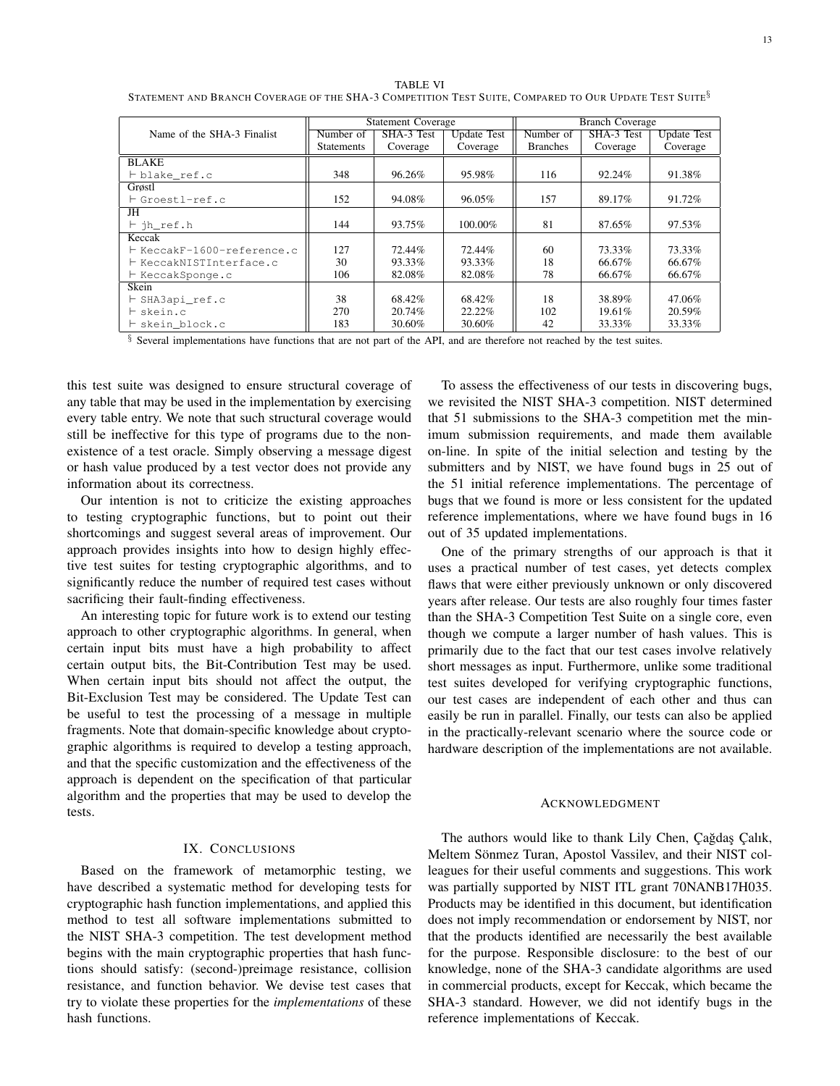TABLE VI STATEMENT AND BRANCH COVERAGE OF THE SHA-3 COMPETITION TEST SUITE, COMPARED TO OUR UPDATE TEST SUITE<sup>§</sup>

|                            | <b>Statement Coverage</b> |            |                    | <b>Branch Coverage</b> |            |                    |
|----------------------------|---------------------------|------------|--------------------|------------------------|------------|--------------------|
| Name of the SHA-3 Finalist | Number of                 | SHA-3 Test | <b>Update Test</b> | Number of              | SHA-3 Test | <b>Update Test</b> |
|                            | <b>Statements</b>         | Coverage   | Coverage           | <b>Branches</b>        | Coverage   | Coverage           |
| <b>BLAKE</b>               |                           |            |                    |                        |            |                    |
| ⊢blake ref.c               | 348                       | 96.26%     | 95.98%             | 116                    | 92.24%     | 91.38%             |
| Grøstl                     |                           |            |                    |                        |            |                    |
| ⊢Groestl-ref.c             | 152                       | 94.08%     | 96.05%             | 157                    | 89.17%     | 91.72%             |
| JH                         |                           |            |                    |                        |            |                    |
| $\vdash$ ih ref.h          | 144                       | 93.75%     | 100.00%            | 81                     | 87.65%     | 97.53%             |
| Keccak                     |                           |            |                    |                        |            |                    |
| ⊢ KeccakF-1600-reference.c | 127                       | 72.44%     | 72.44%             | 60                     | 73.33%     | 73.33%             |
| ├ KeccakNISTInterface.c    | 30                        | 93.33%     | 93.33%             | 18                     | 66.67%     | 66.67%             |
| ⊢ KeccakSponge.c           | 106                       | 82.08%     | 82.08%             | 78                     | 66.67%     | 66.67%             |
| Skein                      |                           |            |                    |                        |            |                    |
| $\vdash$ SHA3api_ref.c     | 38                        | 68.42%     | 68.42%             | 18                     | 38.89%     | 47.06%             |
| ⊢skein.c                   | 270                       | 20.74%     | 22.22%             | 102                    | 19.61%     | 20.59%             |
| ⊢skein block.c             | 183                       | 30.60%     | 30.60%             | 42                     | 33.33%     | 33.33%             |

§ Several implementations have functions that are not part of the API, and are therefore not reached by the test suites.

this test suite was designed to ensure structural coverage of any table that may be used in the implementation by exercising every table entry. We note that such structural coverage would still be ineffective for this type of programs due to the nonexistence of a test oracle. Simply observing a message digest or hash value produced by a test vector does not provide any information about its correctness.

Our intention is not to criticize the existing approaches to testing cryptographic functions, but to point out their shortcomings and suggest several areas of improvement. Our approach provides insights into how to design highly effective test suites for testing cryptographic algorithms, and to signifcantly reduce the number of required test cases without sacrificing their fault-finding effectiveness.

An interesting topic for future work is to extend our testing approach to other cryptographic algorithms. In general, when certain input bits must have a high probability to affect certain output bits, the Bit-Contribution Test may be used. When certain input bits should not affect the output, the Bit-Exclusion Test may be considered. The Update Test can be useful to test the processing of a message in multiple fragments. Note that domain-specifc knowledge about cryptographic algorithms is required to develop a testing approach, and that the specifc customization and the effectiveness of the approach is dependent on the specifcation of that particular algorithm and the properties that may be used to develop the tests.

#### IX. CONCLUSIONS

Based on the framework of metamorphic testing, we have described a systematic method for developing tests for cryptographic hash function implementations, and applied this method to test all software implementations submitted to the NIST SHA-3 competition. The test development method begins with the main cryptographic properties that hash functions should satisfy: (second-)preimage resistance, collision resistance, and function behavior. We devise test cases that try to violate these properties for the *implementations* of these hash functions.

To assess the effectiveness of our tests in discovering bugs, we revisited the NIST SHA-3 competition. NIST determined that 51 submissions to the SHA-3 competition met the minimum submission requirements, and made them available on-line. In spite of the initial selection and testing by the submitters and by NIST, we have found bugs in 25 out of the 51 initial reference implementations. The percentage of bugs that we found is more or less consistent for the updated reference implementations, where we have found bugs in 16 out of 35 updated implementations.

One of the primary strengths of our approach is that it uses a practical number of test cases, yet detects complex faws that were either previously unknown or only discovered years after release. Our tests are also roughly four times faster than the SHA-3 Competition Test Suite on a single core, even though we compute a larger number of hash values. This is primarily due to the fact that our test cases involve relatively short messages as input. Furthermore, unlike some traditional test suites developed for verifying cryptographic functions, our test cases are independent of each other and thus can easily be run in parallel. Finally, our tests can also be applied in the practically-relevant scenario where the source code or hardware description of the implementations are not available.

#### ACKNOWLEDGMENT

The authors would like to thank Lily Chen, Çağdaş Çalık, Meltem Sönmez Turan, Apostol Vassilev, and their NIST colleagues for their useful comments and suggestions. This work was partially supported by NIST ITL grant 70NANB17H035. Products may be identifed in this document, but identifcation does not imply recommendation or endorsement by NIST, nor that the products identifed are necessarily the best available for the purpose. Responsible disclosure: to the best of our knowledge, none of the SHA-3 candidate algorithms are used in commercial products, except for Keccak, which became the SHA-3 standard. However, we did not identify bugs in the reference implementations of Keccak.